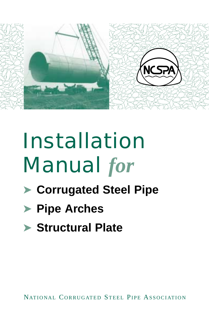

# Installation Manual *for*

- ➤ **Corrugated Steel Pipe**
- ➤ **Pipe Arches**
- ➤ **Structural Plate**

NATIONAL CORRUGATED STEEL PIPE ASSOCIATION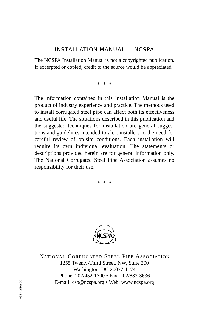#### INSTALLATION MANUAL — NCSPA

The NCSPA Installation Manual is not a copyrighted publication. If excerpted or copied, credit to the source would be appreciated.

\* \* \*

The information contained in this Installation Manual is the product of industry experience and practice. The methods used to install corrugated steel pipe can affect both its effectiveness and useful life. The situations described in this publication and the suggested techniques for installation are general suggestions and guidelines intended to alert installers to the need for careful review of on-site conditions. Each installation will require its own individual evaluation. The statements or descriptions provided herein are for general information only. The National Corrugated Steel Pipe Association assumes no responsibility for their use.



\* \* \*



NATIONAL CORRUGATED STEEL PIPE ASSOCIATION 1255 Twenty-Third Street, NW, Suite 200 Washington, DC 20037-1174 Phone: 202/452-1700 • Fax: 202/833-3636 E-mail: csp@ncspa.org • Web: www.ncspa.org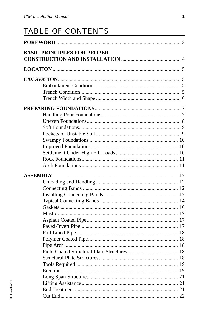# TABLE OF CONTENTS

| <b>BASIC PRINCIPLES FOR PROPER</b> |  |
|------------------------------------|--|
|                                    |  |
|                                    |  |
|                                    |  |
|                                    |  |
|                                    |  |
|                                    |  |
|                                    |  |
|                                    |  |
|                                    |  |
|                                    |  |
|                                    |  |
|                                    |  |
|                                    |  |
|                                    |  |
|                                    |  |
|                                    |  |
|                                    |  |
|                                    |  |
|                                    |  |
|                                    |  |
|                                    |  |
|                                    |  |
|                                    |  |
|                                    |  |
|                                    |  |
|                                    |  |
|                                    |  |
|                                    |  |
|                                    |  |
|                                    |  |
|                                    |  |
|                                    |  |
|                                    |  |
|                                    |  |
|                                    |  |
|                                    |  |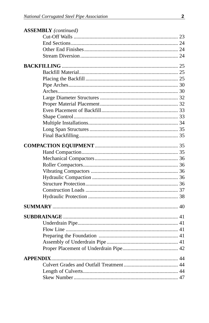| <b>ASSEMBLY</b> (continued) |  |
|-----------------------------|--|
|                             |  |
|                             |  |
|                             |  |
|                             |  |
|                             |  |
|                             |  |
|                             |  |
|                             |  |
|                             |  |
|                             |  |
|                             |  |
|                             |  |
|                             |  |
|                             |  |
|                             |  |
|                             |  |
|                             |  |
|                             |  |
|                             |  |
|                             |  |
|                             |  |
|                             |  |
|                             |  |
|                             |  |
|                             |  |
|                             |  |
|                             |  |
|                             |  |
|                             |  |
|                             |  |
|                             |  |
|                             |  |
|                             |  |
|                             |  |
|                             |  |
|                             |  |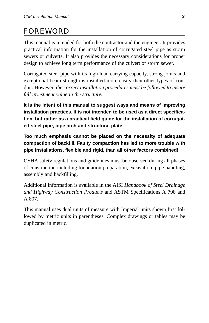# FOREWORD

This manual is intended for both the contractor and the engineer. It provides practical information for the installation of corrugated steel pipe as storm sewers or culverts. It also provides the necessary considerations for proper design to achieve long term performance of the culvert or storm sewer.

Corrugated steel pipe with its high load carrying capacity, strong joints and exceptional beam strength is installed more easily than other types of conduit. However, *the correct installation procedures must be followed to insure full investment value in the structure.*

**It is the intent of this manual to suggest ways and means of improving installation practices. It is not intended to be used as a direct specification, but rather as a practical field guide for the installation of corrugated steel pipe, pipe arch and structural plate.**

**Too much emphasis cannot be placed on the necessity of adequate compaction of backfill. Faulty compaction has led to more trouble with pipe installations, flexible and rigid, than all other factors combined!**

OSHA safety regulations and guidelines must be observed during all phases of construction including foundation preparation, excavation, pipe handling, assembly and backfilling.

Additional information is available in the AISI *Handbook of Steel Drainage and Highway Construction Products* and ASTM Specifications A 798 and A 807.

This manual uses dual units of measure with Imperial units shown first followed by metric units in parentheses. Complex drawings or tables may be duplicated in metric.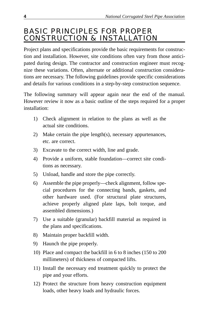## BASIC PRINCIPLES FOR PROPER CONSTRUCTION & INSTALLATION

Project plans and specifications provide the basic requirements for construction and installation. However, site conditions often vary from those anticipated during design. The contractor and construction engineer must recognize these variations. Often, alternate or additional construction considerations are necessary. The following guidelines provide specific considerations and details for various conditions in a step-by-step construction sequence.

The following summary will appear again near the end of the manual. However review it now as a basic outline of the steps required for a proper installation:

- 1) Check alignment in relation to the plans as well as the actual site conditions.
- 2) Make certain the pipe length(s), necessary appurtenances, etc. are correct.
- 3) Excavate to the correct width, line and grade.
- 4) Provide a uniform, stable foundation—correct site conditions as necessary.
- 5) Unload, handle and store the pipe correctly.
- 6) Assemble the pipe properly—check alignment, follow special procedures for the connecting bands, gaskets, and other hardware used. (For structural plate structures, achieve properly aligned plate laps, bolt torque, and assembled dimensions.)
- 7) Use a suitable (granular) backfill material as required in the plans and specifications.
- 8) Maintain proper backfill width.
- 9) Haunch the pipe properly.
- 10) Place and compact the backfill in 6 to 8 inches (150 to 200 millimeters) of thickness of compacted lifts.
- 11) Install the necessary end treatment quickly to protect the pipe and your efforts.
- 12) Protect the structure from heavy construction equipment loads, other heavy loads and hydraulic forces.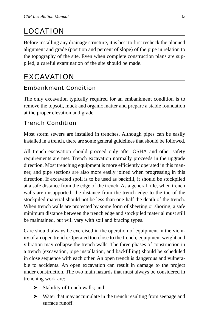# LOCATION

Before installing any drainage structure, it is best to first recheck the planned alignment and grade (position and percent of slope) of the pipe in relation to the topography of the site. Even when complete construction plans are supplied, a careful examination of the site should be made.

# EXCAVATION

#### Embankment Condition

The only excavation typically required for an embankment condition is to remove the topsoil, muck and organic matter and prepare a stable foundation at the proper elevation and grade.

#### Trench Condition

Most storm sewers are installed in trenches. Although pipes can be easily installed in a trench, there are some general guidelines that should be followed.

All trench excavation should proceed only after OSHA and other safety requirements are met. Trench excavation normally proceeds in the upgrade direction. Most trenching equipment is more efficiently operated in this manner, and pipe sections are also more easily joined when progressing in this direction. If excavated spoil is to be used as backfill, it should be stockpiled at a safe distance from the edge of the trench. As a general rule, when trench walls are unsupported, the distance from the trench edge to the toe of the stockpiled material should not be less than one-half the depth of the trench. When trench walls are protected by some form of sheeting or shoring, a safe minimum distance between the trench edge and stockpiled material must still be maintained, but will vary with soil and bracing types.

Care should always be exercised in the operation of equipment in the vicinity of an open trench. Operated too close to the trench, equipment weight and vibration may collapse the trench walls. The three phases of construction in a trench (excavation, pipe installation, and backfilling) should be scheduled in close sequence with each other. An open trench is dangerous and vulnerable to accidents. An open excavation can result in damage to the project under construction. The two main hazards that must always be considered in trenching work are:

- ➤ Stability of trench walls; and
- ➤ Water that may accumulate in the trench resulting from seepage and surface runoff.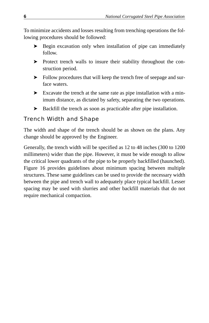To minimize accidents and losses resulting from trenching operations the following procedures should be followed:

- ➤ Begin excavation only when installation of pipe can immediately follow.
- ➤ Protect trench walls to insure their stability throughout the construction period.
- ➤ Follow procedures that will keep the trench free of seepage and surface waters.
- ➤ Excavate the trench at the same rate as pipe installation with a minimum distance, as dictated by safety, separating the two operations.
- ➤ Backfill the trench as soon as practicable after pipe installation.

#### Trench Width and Shape

The width and shape of the trench should be as shown on the plans. Any change should be approved by the Engineer.

Generally, the trench width will be specified as 12 to 48 inches (300 to 1200 millimeters) wider than the pipe. However, it must be wide enough to allow the critical lower quadrants of the pipe to be properly backfilled (haunched). Figure 16 provides guidelines about minimum spacing between multiple structures. These same guidelines can be used to provide the necessary width between the pipe and trench wall to adequately place typical backfill. Lesser spacing may be used with slurries and other backfill materials that do not require mechanical compaction.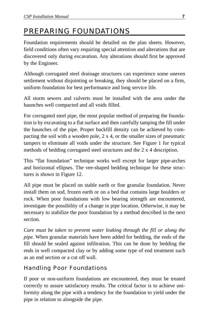# PREPARING FOUNDATIONS

Foundation requirements should be detailed on the plan sheets. However, field conditions often vary requiring special attention and alterations that are discovered only during excavation. Any alterations should first be approved by the Engineer.

Although corrugated steel drainage structures can experience some uneven settlement without disjointing or breaking, they should be placed on a firm, uniform foundation for best performance and long service life.

All storm sewers and culverts must be installed with the area under the haunches well compacted and all voids filled.

For corrugated steel pipe, the most popular method of preparing the foundation is by excavating to a flat surface and then carefully tamping the fill under the haunches of the pipe. Proper backfill density can be achieved by compacting the soil with a wooden pole,  $2 \times 4$ , or the smaller sizes of pneumatic tampers to eliminate all voids under the structure. See Figure 1 for typical methods of bedding corrugated steel structures and the 2 x 4 description.

This "flat foundation" technique works well except for larger pipe-arches and horizontal ellipses. The vee-shaped bedding technique for these structures is shown in Figure 12.

All pipe must be placed on stable earth or fine granular foundation. Never install them on sod, frozen earth or on a bed that contains large boulders or rock. When poor foundations with low bearing strength are encountered, investigate the possibility of a change in pipe location. Otherwise, it may be necessary to stabilize the poor foundation by a method described in the next section.

*Care must be taken to prevent water leaking through the fill or along the pipe.* When granular materials have been added for bedding, the ends of the fill should be sealed against infiltration. This can be done by bedding the ends in well compacted clay or by adding some type of end treatment such as an end section or a cut off wall.

#### Handling Poor Foundations

If poor or non-uniform foundations are encountered, they must be treated correctly to assure satisfactory results. The critical factor is to achieve uniformity along the pipe with a tendency for the foundation to yield under the pipe in relation to alongside the pipe.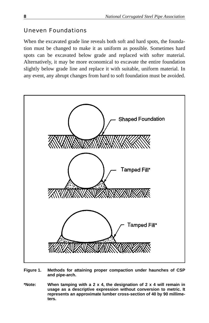#### Uneven Foundations

When the excavated grade line reveals both soft and hard spots, the foundation must be changed to make it as uniform as possible. Sometimes hard spots can be excavated below grade and replaced with softer material. Alternatively, it may be more economical to excavate the entire foundation slightly below grade line and replace it with suitable, uniform material. In any event, any abrupt changes from hard to soft foundation must be avoided.



- **Figure 1. Methods for attaining proper compaction under haunches of CSP and pipe-arch.**
- **\*Note: When tamping with a 2 x 4, the designation of 2 x 4 will remain in usage as a descriptive expression without conversion to metric. It represents an approximate lumber cross-section of 40 by 90 millimeters.**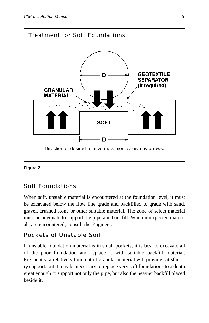

#### **Figure 2.**

#### Soft Foundations

When soft, unstable material is encountered at the foundation level, it must be excavated below the flow line grade and backfilled to grade with sand, gravel, crushed stone or other suitable material. The zone of select material must be adequate to support the pipe and backfill. When unexpected materials are encountered, consult the Engineer.

#### Pockets of Unstable Soil

If unstable foundation material is in small pockets, it is best to excavate all of the poor foundation and replace it with suitable backfill material. Frequently, a relatively thin mat of granular material will provide satisfactory support, but it may be necessary to replace very soft foundations to a depth great enough to support not only the pipe, but also the heavier backfill placed beside it.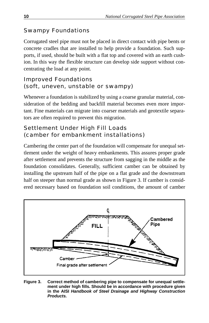#### Swampy Foundations

Corrugated steel pipe must not be placed in direct contact with pipe bents or concrete cradles that are installed to help provide a foundation. Such supports, if used, should be built with a flat top and covered with an earth cushion. In this way the flexible structure can develop side support without concentrating the load at any point.

```
Improved Foundations
(soft, uneven, unstable or swampy)
```
Whenever a foundation is stabilized by using a coarse granular material, consideration of the bedding and backfill material becomes even more important. Fine materials can migrate into coarser materials and geotextile separators are often required to prevent this migration.

```
Settlement Under High Fill Loads
(camber for embankment installations)
```
Cambering the center part of the foundation will compensate for unequal settlement under the weight of heavy embankments. This assures proper grade after settlement and prevents the structure from sagging in the middle as the foundation consolidates. Generally, sufficient camber can be obtained by installing the upstream half of the pipe on a flat grade and the downstream half on steeper than normal grade as shown in Figure 3. If camber is considered necessary based on foundation soil conditions, the amount of camber



**Figure 3. Correct method of cambering pipe to compensate for unequal settlement under high fills. Should be in accordance with procedure given in the AISI Handbook of Steel Drainage and Highway Construction Products.**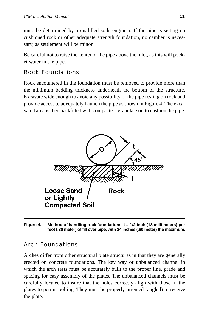must be determined by a qualified soils engineer. If the pipe is setting on cushioned rock or other adequate strength foundation, no camber is necessary, as settlement will be minor.

Be careful not to raise the center of the pipe above the inlet, as this will pocket water in the pipe.

#### Rock Foundations

Rock encountered in the foundation must be removed to provide more than the minimum bedding thickness underneath the bottom of the structure. Excavate wide enough to avoid any possibility of the pipe resting on rock and provide access to adequately haunch the pipe as shown in Figure 4. The excavated area is then backfilled with compacted, granular soil to cushion the pipe.



**Figure 4. Method of handling rock foundations. t = 1/2 inch (13 millimeters) per foot (.30 meter) of fill over pipe, with 24 inches (.60 meter) the maximum.**

#### Arch Foundations

Arches differ from other structural plate structures in that they are generally erected on concrete foundations. The key way or unbalanced channel in which the arch rests must be accurately built to the proper line, grade and spacing for easy assembly of the plates. The unbalanced channels must be carefully located to insure that the holes correctly align with those in the plates to permit bolting. They must be properly oriented (angled) to receive the plate.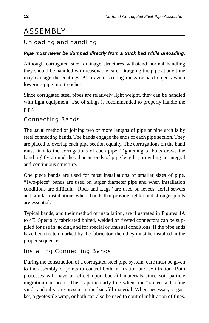# ASSEMBLY

## Unloading and handling

#### **Pipe must never be dumped directly from a truck bed while unloading.**

Although corrugated steel drainage structures withstand normal handling they should be handled with reasonable care. Dragging the pipe at any time may damage the coatings. Also avoid striking rocks or hard objects when lowering pipe into trenches.

Since corrugated steel pipes are relatively light weight, they can be handled with light equipment. Use of slings is recommended to properly handle the pipe.

#### Connecting Bands

The usual method of joining two or more lengths of pipe or pipe arch is by steel connecting bands. The bands engage the ends of each pipe section. They are placed to overlap each pipe section equally. The corrugations on the band must fit into the corrugations of each pipe. Tightening of bolts draws the band tightly around the adjacent ends of pipe lengths, providing an integral and continuous structure.

One piece bands are used for most installations of smaller sizes of pipe. "Two-piece" bands are used on larger diameter pipe and when installation conditions are difficult. "Rods and Lugs" are used on levees, aerial sewers and similar installations where bands that provide tighter and stronger joints are essential.

Typical bands, and their method of installation, are illustrated in Figures 4A to 4E. Specially fabricated bolted, welded or riveted connectors can be supplied for use in jacking and for special or unusual conditions. If the pipe ends have been match marked by the fabricator, then they must be installed in the proper sequence.

## Installing Connecting Bands

During the construction of a corrugated steel pipe system, care must be given to the assembly of joints to control both infiltration and exfiltration. Both processes will have an effect upon backfill materials since soil particle migration can occur. This is particularly true when fine "rained soils (fine sands and silts) are present in the backfill material. When necessary, a gasket, a geotextile wrap, or both can also be used to control infiltration of fines.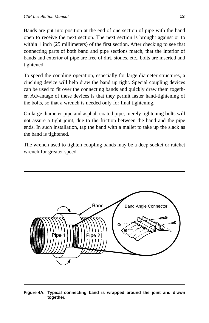Bands are put into position at the end of one section of pipe with the band open to receive the next section. The next section is brought against or to within 1 inch (25 millimeters) of the first section. After checking to see that connecting parts of both band and pipe sections match, that the interior of bands and exterior of pipe are free of dirt, stones, etc., bolts are inserted and tightened.

To speed the coupling operation, especially for large diameter structures, a cinching device will help draw the band up tight. Special coupling devices can be used to fit over the connecting bands and quickly draw them together. Advantage of these devices is that they permit faster hand-tightening of the bolts, so that a wrench is needed only for final tightening.

On large diameter pipe and asphalt coated pipe, merely tightening bolts will not assure a tight joint, due to the friction between the band and the pipe ends. In such installation, tap the band with a mallet to take up the slack as the band is tightened.

The wrench used to tighten coupling bands may be a deep socket or ratchet wrench for greater speed.



**Figure 4A. Typical connecting band is wrapped around the joint and drawn together.**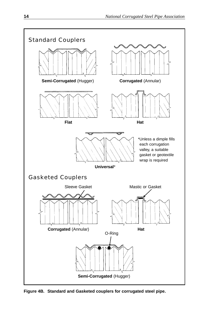

**Figure 4B. Standard and Gasketed couplers for corrugated steel pipe.**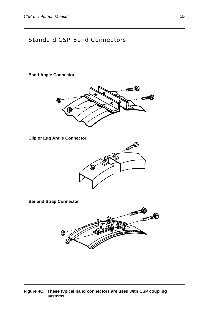

**Figure 4C. These typical band connectors are used with CSP coupling systems.**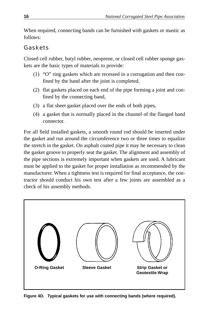When required, connecting bands can be furnished with gaskets or mastic as follows:

#### Gaskets

Closed cell rubber, butyl rubber, neoprene, or closed cell rubber sponge gaskets are the basic types of materials to provide:

- (1) "O" ring gaskets which are recessed in a corrugation and then confined by the band after the joint is completed,
- (2) flat gaskets placed on each end of the pipe forming a joint and confined by the connecting band,
- (3) a flat sheet gasket placed over the ends of both pipes,
- (4) a gasket that is normally placed in the channel of the flanged band connector.

For all field installed gaskets, a smooth round rod should be inserted under the gasket and run around the circumference two or three times to equalize the stretch in the gasket. On asphalt coated pipe it may be necessary to clean the gasket groove to properly seat the gasket. The alignment and assembly of the pipe sections is extremely important when gaskets are used. A lubricant must be applied to the gasket for proper installation as recommended by the manufacturer. When a tightness test is required for final acceptance, the contractor should conduct his own test after a few joints are assembled as a check of his assembly methods.



**Figure 4D. Typical gaskets for use with connecting bands (where required).**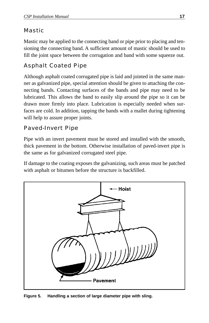#### Mastic

Mastic may be applied to the connecting band or pipe prior to placing and tensioning the connecting band. A sufficient amount of mastic should be used to fill the joint space between the corrugation and band with some squeeze out.

## Asphalt Coated Pipe

Although asphalt coated corrugated pipe is laid and jointed in the same manner as galvanized pipe, special attention should be given to attaching the connecting bands. Contacting surfaces of the bands and pipe may need to be lubricated. This allows the band to easily slip around the pipe so it can be drawn more firmly into place. Lubrication is especially needed when surfaces are cold. In addition, tapping the bands with a mallet during tightening will help to assure proper joints.

#### Paved-Invert Pipe

Pipe with an invert pavement must be stored and installed with the smooth, thick pavement in the bottom. Otherwise installation of paved-invert pipe is the same as for galvanized corrugated steel pipe.

If damage to the coating exposes the galvanizing, such areas must be patched with asphalt or bitumen before the structure is backfilled.



**Figure 5. Handling a section of large diameter pipe with sling.**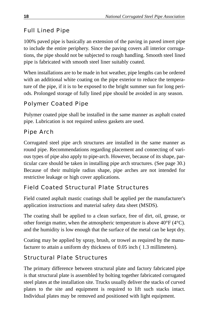## Full Lined Pipe

100% paved pipe is basically an extension of the paving in paved invert pipe to include the entire periphery. Since the paving covers all interior corrugations, the pipe should not be subjected to rough handling. Smooth steel lined pipe is fabricated with smooth steel liner suitably coated.

When installations are to be made in hot weather, pipe lengths can be ordered with an additional white coating on the pipe exterior to reduce the temperature of the pipe, if it is to be exposed to the bright summer sun for long periods. Prolonged storage of fully lined pipe should be avoided in any season.

#### Polymer Coated Pipe

Polymer coated pipe shall be installed in the same manner as asphalt coated pipe. Lubrication is not required unless gaskets are used.

#### Pipe Arch

Corrugated steel pipe arch structures are installed in the same manner as round pipe. Recommendations regarding placement and connecting of various types of pipe also apply to pipe-arch. However, because of its shape, particular care should be taken in installing pipe arch structures. (See page 30.) Because of their multiple radius shape, pipe arches are not intended for restrictive leakage or high cover applications.

#### Field Coated Structural Plate Structures

Field coated asphalt mastic coatings shall be applied per the manufacturer's application instructions and material safety data sheet (MSDS).

The coating shall be applied to a clean surface, free of dirt, oil, grease, or other foreign matter, when the atmospheric temperature is above 40°F (4°C). and the humidity is low enough that the surface of the metal can be kept dry.

Coating may be applied by spray, brush, or trowel as required by the manufacturer to attain a uniform dry thickness of 0.05 inch ( 1.3 millimeters).

#### Structural Plate Structures

The primary difference between structural plate and factory fabricated pipe is that structural plate is assembled by bolting together fabricated corrugated steel plates at the installation site. Trucks usually deliver the stacks of curved plates to the site and equipment is required to lift such stacks intact. Individual plates may be removed and positioned with light equipment.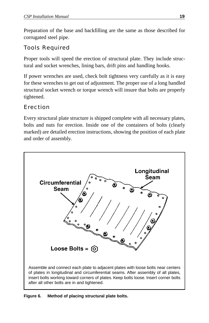Preparation of the base and backfilling are the same as those described for corrugated steel pipe.

#### Tools Required

Proper tools will speed the erection of structural plate. They include structural and socket wrenches, lining bars, drift pins and handling hooks.

If power wrenches are used, check bolt tightness very carefully as it is easy for these wrenches to get out of adjustment. The proper use of a long handled structural socket wrench or torque wrench will insure that bolts are properly tightened.

#### Erection

Every structural plate structure is shipped complete with all necessary plates, bolts and nuts for erection. Inside one of the containers of bolts (clearly marked) are detailed erection instructions, showing the position of each plate and order of assembly.



**Figure 6. Method of placing structural plate bolts.**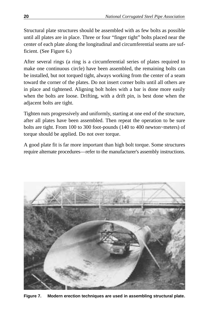Structural plate structures should be assembled with as few bolts as possible until all plates are in place. Three or four "finger tight" bolts placed near the center of each plate along the longitudinal and circumferential seams are sufficient. (See Figure 6.)

After several rings (a ring is a circumferential series of plates required to make one continuous circle) have been assembled, the remaining bolts can be installed, but not torqued tight, always working from the center of a seam toward the corner of the plates. Do not insert corner bolts until all others are in place and tightened. Aligning bolt holes with a bar is done more easily when the bolts are loose. Drifting, with a drift pin, is best done when the adjacent bolts are tight.

Tighten nuts progressively and uniformly, starting at one end of the structure, after all plates have been assembled. Then repeat the operation to be sure bolts are tight. From 100 to 300 foot-pounds (140 to 400 newton~meters) of torque should be applied. Do not over torque.

A good plate fit is far more important than high bolt torque. Some structures require alternate procedures—refer to the manufacturer's assembly instructions.



**Figure 7. Modern erection techniques are used in assembling structural plate.**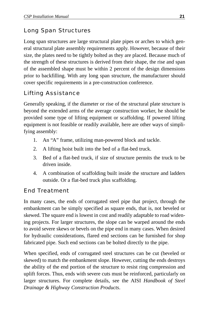#### Long Span Structures

Long span structures are large structural plate pipes or arches to which general structural plate assembly requirements apply. However, because of their size, the plates need to be tightly bolted as they are placed. Because much of the strength of these structures is derived from their shape, the rise and span of the assembled shape must be within 2 percent of the design dimensions prior to backfilling. With any long span structure, the manufacturer should cover specific requirements in a pre-construction conference.

#### Lifting Assistance

Generally speaking, if the diameter or rise of the structural plate structure is beyond the extended arms of the average construction worker, he should be provided some type of lifting equipment or scaffolding. If powered lifting equipment is not feasible or readily available, here are other ways of simplifying assembly:

- 1. An "A" frame, utilizing man-powered block and tackle.
- 2. A lifting hoist built into the bed of a flat-bed truck.
- 3. Bed of a flat-bed truck, if size of structure permits the truck to be driven inside.
- 4. A combination of scaffolding built inside the structure and ladders outside. Or a flat-bed truck plus scaffolding.

#### End Treatment

In many cases, the ends of corrugated steel pipe that project, through the embankment can be simply specified as square ends, that is, not beveled or skewed. The square end is lowest in cost and readily adaptable to road widening projects. For larger structures, the slope can be warped around the ends to avoid severe skews or bevels on the pipe end in many cases. When desired for hydraulic considerations, flared end sections can be furnished for shop fabricated pipe. Such end sections can be bolted directly to the pipe.

When specified, ends of corrugated steel structures can be cut (beveled or skewed) to match the embankment slope. However, cutting the ends destroys the ability of the end portion of the structure to resist ring compression and uplift forces. Thus, ends with severe cuts must be reinforced, particularly on larger structures. For complete details, see the AISI *Handbook of Steel Drainage & Highway Construction Products*.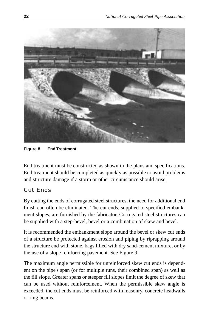

**Figure 8. End Treatment.**

End treatment must be constructed as shown in the plans and specifications. End treatment should be completed as quickly as possible to avoid problems and structure damage if a storm or other circumstance should arise.

#### Cut Ends

By cutting the ends of corrugated steel structures, the need for additional end finish can often be eliminated. The cut ends, supplied to specified embankment slopes, are furnished by the fabricator. Corrugated steel structures can be supplied with a step-bevel, bevel or a combination of skew and bevel.

It is recommended the embankment slope around the bevel or skew cut ends of a structure be protected against erosion and piping by riprapping around the structure end with stone, bags filled with dry sand-cement mixture, or by the use of a slope reinforcing pavement. See Figure 9.

The maximum angle permissible for unreinforced skew cut ends is dependent on the pipe's span (or for multiple runs, their combined span) as well as the fill slope. Greater spans or steeper fill slopes limit the degree of skew that can be used without reinforcement. When the permissible skew angle is exceeded, the cut ends must be reinforced with masonry, concrete headwalls or ring beams.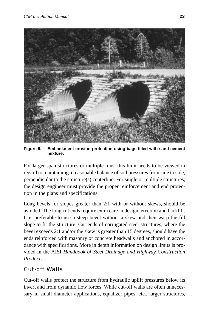

**Figure 9. Embankment erosion protection using bags filled with sand-cement mixture.**

For larger span structures or multiple runs, this limit needs to be viewed in regard to maintaining a reasonable balance of soil pressures from side to side, perpendicular to the structure(s) centerline. For single or multiple structures, the design engineer must provide the proper reinforcement and end protection in the plans and specifications.

Long bevels for slopes greater than 2:1 with or without skews, should be avoided. The long cut ends require extra care in design, erection and backfill. It is preferable to use a steep bevel without a skew and then warp the fill slope to fit the structure. Cut ends of corrugated steel structures, where the bevel exceeds 2:1 and/or the skew is greater than 15 degrees, should have the ends reinforced with masonry or concrete headwalls and anchored in accordance with specifications. More in depth information on design limits is provided in the AISI *Handbook of Steel Drainage and Highway Construction Products.*

#### Cut-off Walls

Cut-off walls protect the structure from hydraulic uplift pressures below its invert and from dynamic flow forces. While cut-off walls are often unnecessary in small diameter applications, equalizer pipes, etc., larger structures,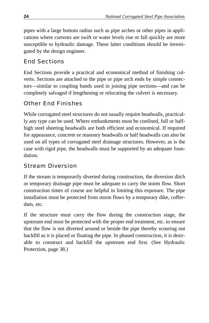pipes with a large bottom radius such as pipe arches or other pipes in applications where currents are swift or water levels rise or fall quickly are more susceptible to hydraulic damage. These latter conditions should be investigated by the design engineer.

#### End Sections

End Sections provide a practical and economical method of finishing culverts. Sections are attached to the pipe or pipe arch ends by simple connectors—similar to coupling bands used in joining pipe sections—and can be completely salvaged if lengthening or relocating the culvert is necessary.

#### Other End Finishes

While corrugated steel structures do not usually require headwalls, practically any type can be used. Where embankments must be confined, full or halfhigh steel sheeting headwalls are both efficient and economical. If required for appearance, concrete or masonry headwalls or half headwalls can also be used on all types of corrugated steel drainage structures. However, as is the case with rigid pipe, the headwalls must be supported by an adequate foundation.

#### Stream Diversion

If the stream is temporarily diverted during construction, the diversion ditch or temporary drainage pipe must be adequate to carry the storm flow. Short construction times of course are helpful in limiting this exposure. The pipe installation must be protected from storm flows by a temporary dike, cofferdam, etc.

If the structure must carry the flow during the construction stage, the upstream end must be protected with the proper end treatment, etc. to ensure that the flow is not diverted around or beside the pipe thereby scouring out backfill as it is placed or floating the pipe. In phased construction, it is desirable to construct and backfill the upstream end first. (See Hydraulic Protection, page 38.)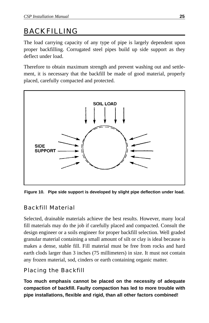# BACKFILLING

The load carrying capacity of any type of pipe is largely dependent upon proper backfilling. Corrugated steel pipes build up side support as they deflect under load.

Therefore to obtain maximum strength and prevent washing out and settlement, it is necessary that the backfill be made of good material, properly placed, carefully compacted and protected.



**Figure 10. Pipe side support is developed by slight pipe deflection under load.**

#### Backfill Material

Selected, drainable materials achieve the best results. However, many local fill materials may do the job if carefully placed and compacted. Consult the design engineer or a soils engineer for proper backfill selection. Well graded granular material containing a small amount of silt or clay is ideal because is makes a dense, stable fill. Fill material must be free from rocks and hard earth clods larger than 3 inches (75 millimeters) in size. It must not contain any frozen material, sod, cinders or earth containing organic matter.

## Placing the Backfill

**Too much emphasis cannot be placed on the necessity of adequate compaction of backfill. Faulty compaction has led to more trouble with pipe installations, flexible and rigid, than all other factors combined!**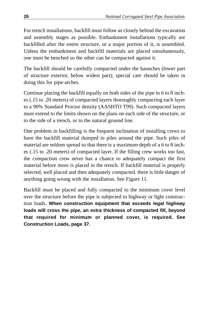For trench installations, backfill must follow as closely behind the excavation and assembly stages as possible. Embankment installations typically are backfilled after the entire structure, or a major portion of it, is assembled. Unless the embankment and backfill materials are placed simultaneously, one must be benched so the other can be compacted against it.

The backfill should be carefully compacted under the haunches (lower part of structure exterior, below widest part); special care should be taken in doing this for pipe-arches.

Continue placing the backfill equally on both sides of the pipe in 6 to 8 inches (.15 to .20 meters) of compacted layers thoroughly compacting each layer to a 90% Standard Proctor density (AASHTO T99). Such compacted layers must extend to the limits shown on the plans on each side of the structure, or to the side of a trench, or to the natural ground line.

One problem in backfilling is the frequent inclination of installing crews to have the backfill material dumped in piles around the pipe. Such piles of material are seldom spread so that there is a maximum depth of a 6 to 8 inches (.15 to .20 meters) of compacted layer. If the filling crew works too fast, the compaction crew never has a chance to adequately compact the first material before more is placed in the trench. If backfill material is properly selected, well placed and then adequately compacted. there is little danger of anything going wrong with the installation. See Figure 11.

Backfill must be placed and fully compacted to the minimum cover level over the structure before the pipe is subjected to highway or light construction loads. **When construction equipment that exceeds legal highway loads will cross the pipe, an extra thickness of compacted fill, beyond that required for minimum or planned cover, is required. See Construction Loads, page 37.**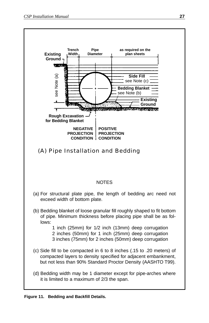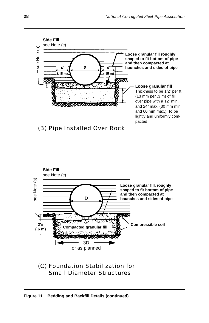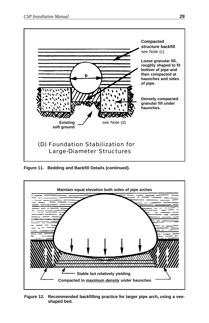

**Figure 11. Bedding and Backfill Details (continued).**



**Figure 12. Recommended backfilling practice for larger pipe arch, using a veeshaped bed.**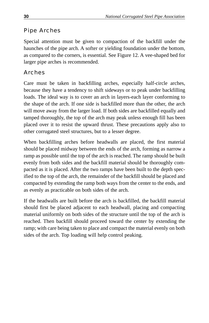## Pipe Arches

Special attention must be given to compaction of the backfill under the haunches of the pipe arch. A softer or yielding foundation under the bottom, as compared to the corners, is essential. See Figure 12. A vee-shaped bed for larger pipe arches is recommended.

## Arches

Care must be taken in backfilling arches, especially half-circle arches, because they have a tendency to shift sideways or to peak under backfilling loads. The ideal way is to cover an arch in layers-each layer conforming to the shape of the arch. If one side is backfilled more than the other, the arch will move away from the larger load. If both sides are backfilled equally and tamped thoroughly, the top of the arch may peak unless enough fill has been placed over it to resist the upward thrust. These precautions apply also to other corrugated steel structures, but to a lesser degree.

When backfilling arches before headwalls are placed, the first material should be placed midway between the ends of the arch, forming as narrow a ramp as possible until the top of the arch is reached. The ramp should be built evenly from both sides and the backfill material should be thoroughly compacted as it is placed. After the two ramps have been built to the depth specified to the top of the arch, the remainder of the backfill should be placed and compacted by extending the ramp both ways from the center to the ends, and as evenly as practicable on both sides of the arch.

If the headwalls are built before the arch is backfilled, the backfill material should first be placed adjacent to each headwall, placing and compacting material uniformly on both sides of the structure until the top of the arch is reached. Then backfill should proceed toward the center by extending the ramp; with care being taken to place and compact the material evenly on both sides of the arch. Top loading will help control peaking.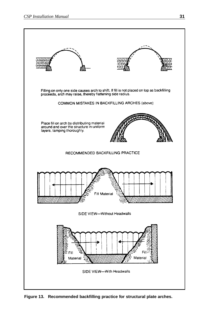

**Figure 13. Recommended backfilling practice for structural plate arches.**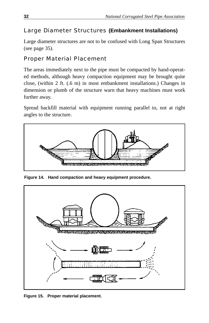#### Large Diameter Structures **(Embankment Installations)**

Large diameter structures are not to be confused with Long Span Structures (see page 35).

#### Proper Material Placement

The areas immediately next to the pipe must be compacted by hand-operated methods, although heavy compaction equipment may be brought quite close, (within 2 ft. (.6 m) in most embankment installations.) Changes in dimension or plumb of the structure warn that heavy machines must work further away.

Spread backfill material with equipment running parallel to, not at right angles to the structure.



**Figure 14. Hand compaction and heavy equipment procedure.**



**Figure 15. Proper material placement.**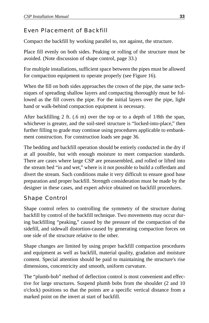## Even Placement of Backfill

Compact the backfill by working parallel to, not against, the structure.

Place fill evenly on both sides. Peaking or rolling of the structure must be avoided. (Note discussion of shape control, page 33.)

For multiple installations, sufficient space between the pipes must be allowed for compaction equipment to operate properly (see Figure 16).

When the fill on both sides approaches the crown of the pipe, the same techniques of spreading shallow layers and compacting thoroughly must be followed as the fill covers the pipe. For the initial layers over the pipe, light hand or walk-behind compaction equipment is necessary.

After backfilling 2 ft. (.6 m) over the top or to a depth of 1/8th the span, whichever is greater, and the soil-steel structure is "locked-into-place," then further filling to grade may continue using procedures applicable to embankment construction. For construction loads see page 36.

The bedding and backfill operation should be entirely conducted in the dry if at all possible, but with enough moisture to meet compaction standards. There are cases where large CSP are preassembled, and rolled or lifted into the stream bed "in and wet," where is it not possible to build a cofferdam and divert the stream. Such conditions make it very difficult to ensure good base preparation and proper backfill. Strength consideration must be made by the designer in these cases, and expert advice obtained on backfill procedures.

#### Shape Control

Shape control refers to controlling the symmetry of the structure during backfill by control of the backfill technique. Two movements may occur during backfilling "peaking," caused by the pressure of the compaction of the sidefill, and sidewall distortion-caused by generating compaction forces on one side of the structure relative to the other.

Shape changes are limited by using proper backfill compaction procedures and equipment as well as backfill, material quality, gradation and moisture content. Special attention should be paid to maintaining the structure's rise dimensions, concentricity and smooth, uniform curvature.

The "plumb-bob" method of deflection control is most convenient and effective for large structures. Suspend plumb bobs from the shoulder (2 and 10 o'clock) positions so that the points are a specific vertical distance from a marked point on the invert at start of backfill.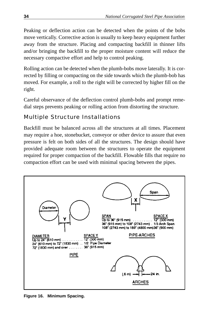Peaking or deflection action can be detected when the points of the bobs move vertically. Corrective action is usually to keep heavy equipment further away from the structure. Placing and compacting backfill in thinner lifts and/or bringing the backfill to the proper moisture content will reduce the necessary compactive effort and help to control peaking.

Rolling action can be detected when the plumb-bobs move laterally. It is corrected by filling or compacting on the side towards which the plumb-bob has moved. For example, a roll to the right will be corrected by higher fill on the right.

Careful observance of the deflection control plumb-bobs and prompt remedial steps prevents peaking or rolling action from distorting the structure.

#### Multiple Structure Installations

Backfill must be balanced across all the structures at all times. Placement may require a hoe, stonebucket, conveyor or other device to assure that even pressure is felt on both sides of all the structures. The design should have provided adequate room between the structures to operate the equipment required for proper compaction of the backfill. Flowable fills that require no compaction effort can be used with minimal spacing between the pipes.



**Figure 16. Minimum Spacing.**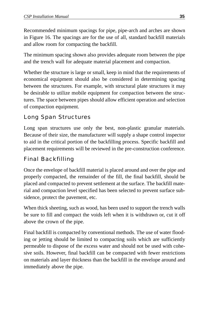Recommended minimum spacings for pipe, pipe-arch and arches are shown in Figure 16. The spacings are for the use of all, standard backfill materials and allow room for compacting the backfill.

The minimum spacing shown also provides adequate room between the pipe and the trench wall for adequate material placement and compaction.

Whether the structure is large or small, keep in mind that the requirements of economical equipment should also be considered in determining spacing between the structures. For example, with structural plate structures it may be desirable to utilize mobile equipment for compaction between the structures. The space between pipes should allow efficient operation and selection of compaction equipment.

#### Long Span Structures

Long span structures use only the best, non-plastic granular materials. Because of their size, the manufacturer will supply a shape control inspector to aid in the critical portion of the backfilling process. Specific backfill and placement requirements will be reviewed in the pre-construction conference.

#### Final Backfilling

Once the envelope of backfill material is placed around and over the pipe and properly compacted, the remainder of the fill, the final backfill, should be placed and compacted to prevent settlement at the surface. The backfill material and compaction level specified has been selected to prevent surface subsidence, protect the pavement, etc.

When thick sheeting, such as wood, has been used to support the trench walls be sure to fill and compact the voids left when it is withdrawn or, cut it off above the crown of the pipe.

Final backfill is compacted by conventional methods. The use of water flooding or jetting should be limited to compacting soils which are sufficiently permeable to dispose of the excess water and should not be used with cohesive soils. However, final backfill can be compacted with fewer restrictions on materials and layer thickness than the backfill in the envelope around and immediately above the pipe.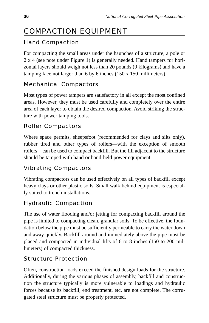# COMPACTION EQUIPMENT

## Hand Compaction

For compacting the small areas under the haunches of a structure, a pole or 2 x 4 (see note under Figure 1) is generally needed. Hand tampers for horizontal layers should weigh not less than 20 pounds (9 kilograms) and have a tamping face not larger than 6 by 6 inches (150 x 150 millimeters).

## Mechanical Compactors

Most types of power tampers are satisfactory in all except the most confined areas. However, they must be used carefully and completely over the entire area of each layer to obtain the desired compaction. Avoid striking the structure with power tamping tools.

#### Roller Compactors

Where space permits, sheepsfoot (recommended for clays and silts only), rubber tired and other types of rollers—with the exception of smooth rollers—can be used to compact backfill. But the fill adjacent to the structure should be tamped with hand or hand-held power equipment.

#### Vibrating Compactors

Vibrating compactors can be used effectively on all types of backfill except heavy clays or other plastic soils. Small walk behind equipment is especially suited to trench installations.

#### Hydraulic Compaction

The use of water flooding and/or jetting for compacting backfill around the pipe is limited to compacting clean, granular soils. To be effective, the foundation below the pipe must be sufficiently permeable to carry the water down and away quickly. Backfill around and immediately above the pipe must be placed and compacted in individual lifts of 6 to 8 inches (150 to 200 millimeters) of compacted thickness.

#### Structure Protection

Often, construction loads exceed the finished design loads for the structure. Additionally, during the various phases of assembly, backfill and construction the structure typically is more vulnerable to loadings and hydraulic forces because its backfill, end treatment, etc. are not complete. The corrugated steel structure must be properly protected.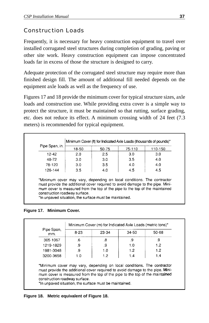## Construction Loads

Frequently, it is necessary for heavy construction equipment to travel over installed corrugated steel structures during completion of grading, paving or other site work. Heavy construction equipment can impose concentrated loads far in excess of those the structure is designed to carry.

Adequate protection of the corrugated steel structure may require more than finished design fill. The amount of additional fill needed depends on the equipment axle loads as well as the frequency of use.

Figures 17 and 18 provide the minimum cover for typical structure sizes, axle loads and construction use. While providing extra cover is a simple way to protect the structure, it must be maintained so that rutting, surface grading, etc. does not reduce its effect. A minimum crossing width of 24 feet (7.3 meters) is recommended for typical equipment.

| Pipe Span, in. | 18-50 | 50-75 | 75-110 | 110-150 |
|----------------|-------|-------|--------|---------|
| 12-42          | 2.0   | 25    | 3.0    | 3.0     |
| 48-72          | 3.0   | 30    | 3.5    | 4.0     |
| 78-120         | 3.0   | 3.5   | 4.0    | 4.0     |
| 126-144        | 3.5   | 4.0   | 4.5    | 4.5     |

construction roadway surface. \*In unpaved situation, the surface must be maintained.

#### **Figure 17. Minimum Cover.**

| Pipe Span,<br>mm. | $8-23$ | 23-34 | 34-50 | 50-68 |
|-------------------|--------|-------|-------|-------|
| 305-1067          | .6     | .8    | .9    | .9    |
| 1219-1829         | .9     | .9    | 1.0   | 1.2   |
| 1981-3048         | .9     | 1.0   | 1.2   | 1.2   |
| 3200-3658         | 1.0    | 1.2   | 1.4   | 1.4   |

\*In unpaved situation, the surface must be maintained.

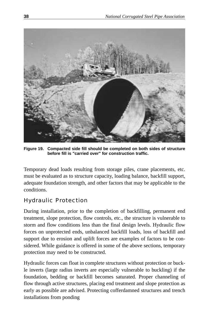

**Figure 19. Compacted side fill should be completed on both sides of structure before fill is "carried over" for construction traffic.**

Temporary dead loads resulting from storage piles, crane placements, etc. must be evaluated as to structure capacity, loading balance, backfill support, adequate foundation strength, and other factors that may be applicable to the conditions.

#### Hydraulic Protection

During installation, prior to the completion of backfilling, permanent end treatment, slope protection, flow controls, etc., the structure is vulnerable to storm and flow conditions less than the final design levels. Hydraulic flow forces on unprotected ends, unbalanced backfill loads, loss of backfill and support due to erosion and uplift forces are examples of factors to be considered. While guidance is offered in some of the above sections, temporary protection may need to be constructed.

Hydraulic forces can float in complete structures without protection or buckle inverts (large radius inverts are especially vulnerable to buckling) if the foundation, bedding or backfill becomes saturated. Proper channeling of flow through active structures, placing end treatment and slope protection as early as possible are advised. Protecting cofferdamned structures and trench installations from ponding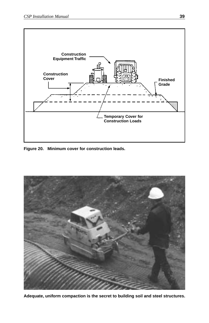

**Figure 20. Minimum cover for construction leads.**



**Adequate, uniform compaction is the secret to building soil and steel structures.**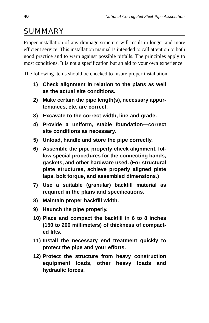# SUMMARY

Proper installation of any drainage structure will result in longer and more efficient service. This installation manual is intended to call attention to both good practice and to warn against possible pitfalls. The principles apply to most conditions. It is not a specification but an aid to your own experience.

The following items should be checked to insure proper installation:

- **1) Check alignment in relation to the plans as well as the actual site conditions.**
- **2) Make certain the pipe length(s), necessary appurtenances, etc. are correct.**
- **3) Excavate to the correct width, line and grade.**
- **4) Provide a uniform, stable foundation—correct site conditions as necessary.**
- **5) Unload, handle and store the pipe correctly.**
- **6) Assemble the pipe properly check alignment, follow special procedures for the connecting bands, gaskets, and other hardware used. (For structural plate structures, achieve properly aligned plate laps, bolt torque, and assembled dimensions.)**
- **7) Use a suitable (granular) backfill material as required in the plans and specifications.**
- **8) Maintain proper backfill width.**
- **9) Haunch the pipe properly.**
- **10) Place and compact the backfill in 6 to 8 inches (150 to 200 millimeters) of thickness of compacted lifts.**
- **11) Install the necessary end treatment quickly to protect the pipe and your efforts.**
- **12) Protect the structure from heavy construction equipment loads, other heavy loads and hydraulic forces.**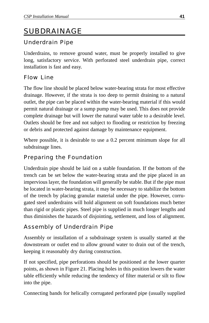# SUBDRAINAGE

#### Underdrain Pipe

Underdrains, to remove ground water, must be properly installed to give long, satisfactory service. With perforated steel underdrain pipe, correct installation is fast and easy.

#### Flow Line

The flow line should be placed below water-bearing strata for most effective drainage. However, if the strata is too deep to permit draining to a natural outlet, the pipe can be placed within the water-bearing material if this would permit natural drainage or a sump pump may be used. This does not provide complete drainage but will lower the natural water table to a desirable level. Outlets should be free and not subject to flooding or restriction by freezing or debris and protected against damage by maintenance equipment.

Where possible, it is desirable to use a 0.2 percent minimum slope for all subdrainage lines.

#### Preparing the Foundation

Underdrain pipe should be laid on a stable foundation. If the bottom of the trench can be set below the water-bearing strata and the pipe placed in an impervious layer, the foundation will generally be stable. But if the pipe must be located in water-bearing strata, it may be necessary to stabilize the bottom of the trench by placing granular material under the pipe. However, corrugated steel underdrains will hold alignment on soft foundations much better than rigid or plastic pipes. Steel pipe is supplied in much longer lengths and thus diminishes the hazards of disjointing, settlement, and loss of alignment.

#### Assembly of Underdrain Pipe

Assembly or installation of a subdrainage system is usually started at the downstream or outlet end to allow ground water to drain out of the trench, keeping it reasonably dry during construction.

If not specified, pipe perforations should be positioned at the lower quarter points, as shown in Figure 21. Placing holes in this position lowers the water table efficiently while reducing the tendency of filter material or silt to flow into the pipe.

Connecting bands for helically corrugated perforated pipe (usually supplied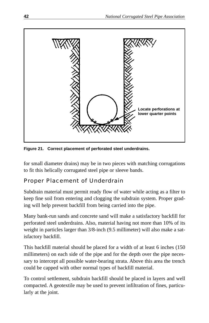

**Figure 21. Correct placement of perforated steel underdrains.**

for small diameter drains) may be in two pieces with matching corrugations to fit this helically corrugated steel pipe or sleeve bands.

#### Proper Placement of Underdrain

Subdrain material must permit ready flow of water while acting as a filter to keep fine soil from entering and clogging the subdrain system. Proper grading will help prevent backfill from being carried into the pipe.

Many bank-run sands and concrete sand will make a satisfactory backfill for perforated steel underdrains. Also, material having not more than 10% of its weight in particles larger than 3/8-inch (9.5 millimeter) will also make a satisfactory backfill.

This backfill material should be placed for a width of at least 6 inches (150 millimeters) on each side of the pipe and for the depth over the pipe necessary to intercept all possible water-bearing strata. Above this area the trench could be capped with other normal types of backfill material.

To control settlement, subdrain backfill should be placed in layers and well compacted. A geotextile may be used to prevent infiltration of fines, particularly at the joint.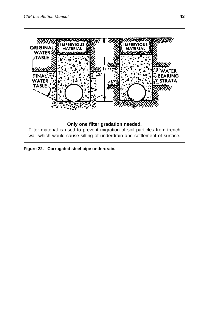

**Figure 22. Corrugated steel pipe underdrain.**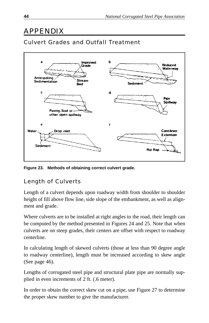# APPENDIX

## Culvert Grades and Outfall Treatment



**Figure 23. Methods of obtaining correct culvert grade.**

#### Length of Culverts

Length of a culvert depends upon roadway width from shoulder to shoulder height of fill above flow line, side slope of the embankment, as well as alignment and grade.

Where culverts are to be installed at right angles to the road, their length can be computed by the method presented in Figures 24 and 25. Note that when culverts are on steep grades, their centers are offset with respect to roadway centerline.

In calculating length of skewed culverts (those at less than 90 degree angle to roadway centerline), length must be increased according to skew angle (See page 46).

Lengths of corrugated steel pipe and structural plate pipe are normally supplied in even increments of 2 ft. (.6 meter).

In order to obtain the correct skew cut on a pipe, use Figure 27 to determine the proper skew number to give the manufacturer.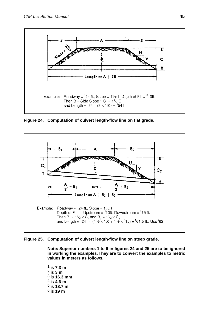

**Figure 24. Computation of culvert length-flow line on flat grade.**



**Figure 25. Computation of culvert length-flow line on steep grade.**

**Note: Superior numbers 1 to 6 in figures 24 and 25 are to be ignored in working the examples. They are to convert the examples to metric values in meters as follows.**

1 is **7.3 m**  2 is **3 m** 3 is **16.3 mm**  4 is **4.6 m** 5 is **18.7 m** 6 is **19 m**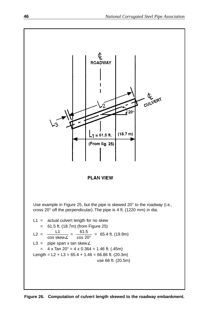

**Figure 26. Computation of culvert length skewed to the roadway embankment.**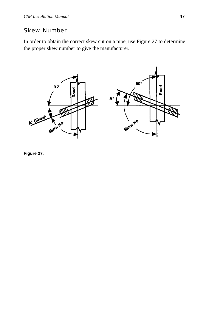#### Skew Number

In order to obtain the correct skew cut on a pipe, use Figure 27 to determine the proper skew number to give the manufacturer.



**Figure 27.**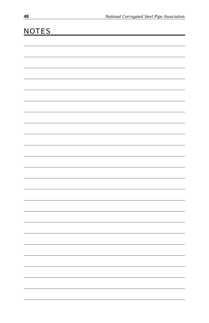| <b>NOTES</b> |  |  |
|--------------|--|--|
|              |  |  |
|              |  |  |
|              |  |  |
|              |  |  |
|              |  |  |
|              |  |  |
|              |  |  |
|              |  |  |
|              |  |  |
|              |  |  |
|              |  |  |
|              |  |  |
|              |  |  |
|              |  |  |
|              |  |  |
|              |  |  |
|              |  |  |
|              |  |  |
|              |  |  |
|              |  |  |
|              |  |  |
|              |  |  |
|              |  |  |
|              |  |  |
|              |  |  |
|              |  |  |
|              |  |  |